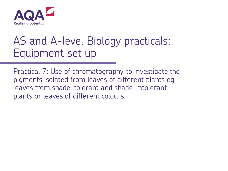

# AS and A-level Biology practicals: Equipment set up

Practical 7: Use of chromatography to investigate the pigments isolated from leaves of different plants eg leaves from shade-tolerant and shade-intolerant plants or leaves of different colours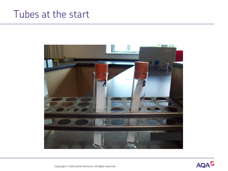#### Tubes at the start



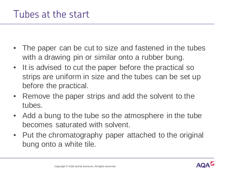- The paper can be cut to size and fastened in the tubes with a drawing pin or similar onto a rubber bung.
- It is advised to cut the paper before the practical so strips are uniform in size and the tubes can be set up before the practical.
- Remove the paper strips and add the solvent to the tubes.
- Add a bung to the tube so the atmosphere in the tube becomes saturated with solvent.
- Put the chromatography paper attached to the original bung onto a white tile.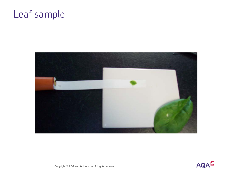## Leaf sample



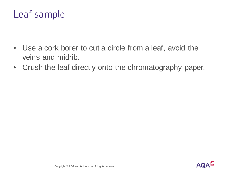

- Use a cork borer to cut a circle from a leaf, avoid the veins and midrib.
- Crush the leaf directly onto the chromatography paper.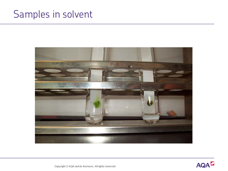#### Samples in solvent



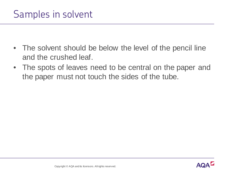#### Samples in solvent

- The solvent should be below the level of the pencil line and the crushed leaf.
- The spots of leaves need to be central on the paper and the paper must not touch the sides of the tube.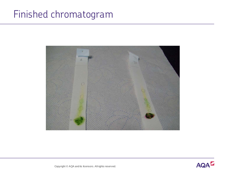### Finished chromatogram